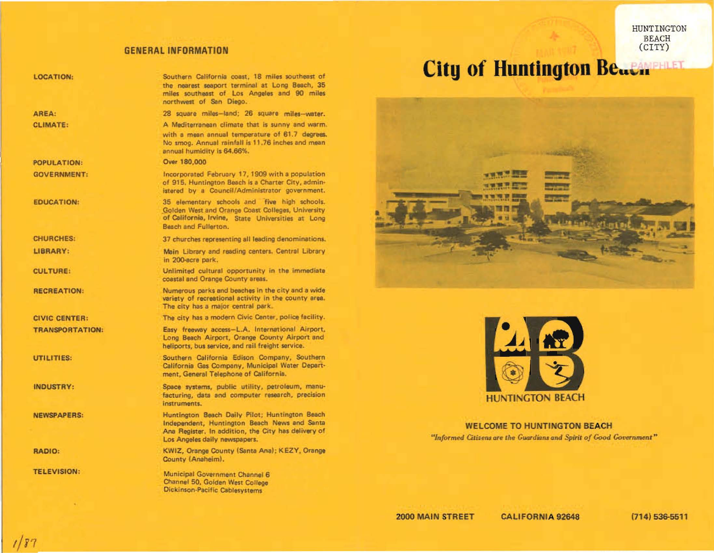## **GENERAL INFORMATION**

| <b>LOCATION:</b>       | Southern California coast, 18 miles southeast of<br>the nearest seaport terminal at Long Beach, 35<br>miles southeast of Los Angeles and 90 miles<br>northwest of San Diego.           |
|------------------------|----------------------------------------------------------------------------------------------------------------------------------------------------------------------------------------|
| AREA:                  | 28 square miles-land; 26 square miles-water.                                                                                                                                           |
| <b>CLIMATE:</b>        | A Mediterranean climate that is sunny and warm.<br>with a mean annual temperature of 61.7 degrees.<br>No smog. Annual rainfall is 11.76 inches and mean<br>annual humidity is 64.66%.  |
| <b>POPULATION:</b>     | Over 180,000                                                                                                                                                                           |
| <b>GOVERNMENT:</b>     | Incorporated February 17, 1909 with a population<br>of 915. Huntington Beach is a Charter City, admin-<br>istered by a Council/Administrator government.                               |
| <b>EDUCATION:</b>      | 35 elementary schools and five high schools.<br>Golden West and Orange Coast Colleges, University<br>of California, Irvine, State Universities at Long<br>Beach and Fullerton.         |
| <b>CHURCHES:</b>       | 37 churches representing all leading denominations.                                                                                                                                    |
| LIBRARY:               | Main Library and reading centers. Central Library<br>in 200-acre park.                                                                                                                 |
| <b>CULTURE:</b>        | Unlimited cultural opportunity in the immediate<br>coastal and Orange County areas.                                                                                                    |
| <b>RECREATION:</b>     | Numerous parks and beaches in the city and a wide<br>variety of recreational activity in the county area.<br>The city has a major central park.                                        |
| <b>CIVIC CENTER:</b>   | The city has a modern Civic Center, police facility.                                                                                                                                   |
| <b>TRANSPORTATION:</b> | Easy freeway access-L.A. International Airport,<br>Long Beach Airport, Orange County Airport and<br>heliports, bus service, and rail freight service.                                  |
| UTILITIES:             | Southern California Edison Company, Southern<br>California Gas Company, Municipal Water Depart-<br>ment, General Telephone of California.                                              |
| <b>INDUSTRY:</b>       | Space systems, public utility, petroleum, manu-<br>facturing, data and computer research, precision<br>instruments.                                                                    |
| <b>NEWSPAPERS:</b>     | Huntington Beach Daily Pilot; Huntington Beach<br>Independent, Huntington Beach News and Santa<br>Ana Register, In addition, the City has delivery of<br>Los Angeles daily newspapers. |
| <b>RADIO:</b>          | KWIZ, Orange County (Santa Ana); KEZY, Orange<br>County (Anaheim).                                                                                                                     |
| <b>TELEVISION:</b>     | Municipal Government Channel 6<br>Channel 50, Golden West College<br>Dickinson-Pacific Cablesystems                                                                                    |

# City of Huntington Beach Printing





**WELCOME TO HUNTINGTON BEACH** "Informed Citizens are the Guardians and Spirit of Good Government"

HUNTINGTON BEACH<br>(CITY)

 $1/87$ 

 $\sim$